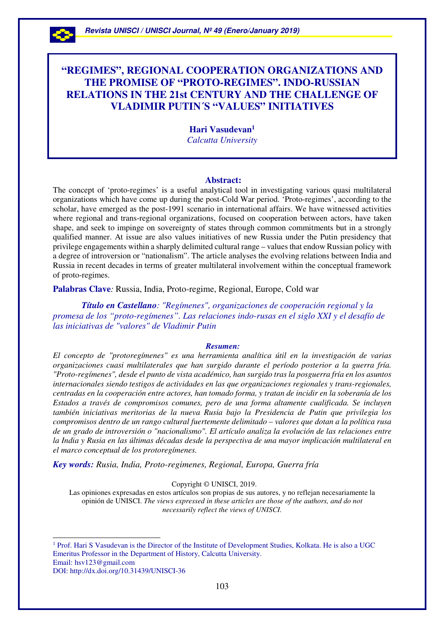

 $\overline{a}$ 

# **"REGIMES", REGIONAL COOPERATION ORGANIZATIONS AND THE PROMISE OF "PROTO-REGIMES". INDO-RUSSIAN RELATIONS IN THE 21st CENTURY AND THE CHALLENGE OF VLADIMIR PUTIN´S "VALUES" INITIATIVES**

**Hari Vasudevan<sup>1</sup>**  *Calcutta University* 

#### **Abstract:**

The concept of 'proto-regimes' is a useful analytical tool in investigating various quasi multilateral organizations which have come up during the post-Cold War period. 'Proto-regimes', according to the scholar, have emerged as the post-1991 scenario in international affairs. We have witnessed activities where regional and trans-regional organizations, focused on cooperation between actors, have taken shape, and seek to impinge on sovereignty of states through common commitments but in a strongly qualified manner. At issue are also values initiatives of new Russia under the Putin presidency that privilege engagements within a sharply delimited cultural range – values that endow Russian policy with a degree of introversion or "nationalism". The article analyses the evolving relations between India and Russia in recent decades in terms of greater multilateral involvement within the conceptual framework of proto-regimes.

**Palabras Clave***:* Russia, India, Proto-regime, Regional, Europe, Cold war

 *Título en Castellano: "Regímenes", organizaciones de cooperación regional y la promesa de los "proto-regímenes". Las relaciones indo-rusas en el siglo XXI y el desafío de las iniciativas de "valores" de Vladimir Putin* 

#### *Resumen:*

*El concepto de "protoregímenes" es una herramienta analítica útil en la investigación de varias organizaciones cuasi multilaterales que han surgido durante el período posterior a la guerra fría. "Proto-regímenes", desde el punto de vista académico, han surgido tras la posguerra fría en los asuntos internacionales siendo testigos de actividades en las que organizaciones regionales y trans-regionales, centradas en la cooperación entre actores, han tomado forma, y tratan de incidir en la soberanía de los Estados a través de compromisos comunes, pero de una forma altamente cualificada. Se incluyen también iniciativas meritorias de la nueva Rusia bajo la Presidencia de Putin que privilegia los compromisos dentro de un rango cultural fuertemente delimitado – valores que dotan a la política rusa de un grado de introversión o "nacionalismo". El artículo analiza la evolución de las relaciones entre* la India y Rusia en las últimas décadas desde la perspectiva de una mayor implicación multilateral en *el marco conceptual de los protoregímenes.* 

*Key words: Rusia, India, Proto-regimenes, Regional, Europa, Guerra fría*

Copyright © UNISCI, 2019.

Las opiniones expresadas en estos artículos son propias de sus autores, y no reflejan necesariamente la opinión de UNISCI. *The views expressed in these articles are those of the authors, and do not necessarily reflect the views of UNISCI.*

<sup>1</sup> Prof. Hari S Vasudevan is the Director of the Institute of Development Studies, Kolkata. He is also a UGC Emeritus Professor in the Department of History, Calcutta University. Email: hsv123@gmail.com DOI: http://dx.doi.org/10.31439/UNISCI-36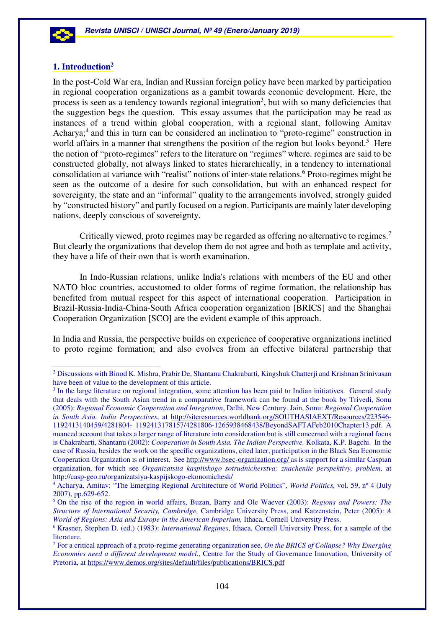

 $\overline{a}$ 

# **1. Introduction<sup>2</sup>**

In the post-Cold War era, Indian and Russian foreign policy have been marked by participation in regional cooperation organizations as a gambit towards economic development. Here, the process is seen as a tendency towards regional integration<sup>3</sup>, but with so many deficiencies that the suggestion begs the question. This essay assumes that the participation may be read as instances of a trend within global cooperation, with a regional slant, following Amitav Acharya;<sup>4</sup> and this in turn can be considered an inclination to "proto-regime" construction in world affairs in a manner that strengthens the position of the region but looks beyond.<sup>5</sup> Here the notion of "proto-regimes" refers to the literature on "regimes" where. regimes are said to be constructed globally, not always linked to states hierarchically, in a tendency to international consolidation at variance with "realist" notions of inter-state relations.<sup>6</sup> Proto-regimes might be seen as the outcome of a desire for such consolidation, but with an enhanced respect for sovereignty, the state and an "informal" quality to the arrangements involved, strongly guided by "constructed history" and partly focused on a region. Participants are mainly later developing nations, deeply conscious of sovereignty.

Critically viewed, proto regimes may be regarded as offering no alternative to regimes.<sup>7</sup> But clearly the organizations that develop them do not agree and both as template and activity, they have a life of their own that is worth examination.

In Indo-Russian relations, unlike India's relations with members of the EU and other NATO bloc countries, accustomed to older forms of regime formation, the relationship has benefited from mutual respect for this aspect of international cooperation. Participation in Brazil-Russia-India-China-South Africa cooperation organization [BRICS] and the Shanghai Cooperation Organization [SCO] are the evident example of this approach.

In India and Russia, the perspective builds on experience of cooperative organizations inclined to proto regime formation; and also evolves from an effective bilateral partnership that

 $2$  Discussions with Binod K. Mishra, Prabir De, Shantanu Chakrabarti, Kingshuk Chatterji and Krishnan Srinivasan have been of value to the development of this article.

<sup>&</sup>lt;sup>3</sup> In the large literature on regional integration, some attention has been paid to Indian initiatives. General study that deals with the South Asian trend in a comparative framework can be found at the book by Trivedi, Sonu (2005): *Regional Economic Cooperation and Integration*, Delhi, New Century. Jain, Sonu: *Regional Cooperation in South Asia. India Perspectives*, at http://siteresources.worldbank.org/SOUTHASIAEXT/Resources/223546- 1192413140459/4281804- 1192413178157/4281806-1265938468438/BeyondSAFTAFeb2010Chapter13.pdf. A nuanced account that takes a larger range of literature into consideration but is still concerned with a regional focus is Chakrabarti, Shantanu (2002): *Cooperation in South Asia. The Indian Perspective,* Kolkata, K.P. Bagchi. In the case of Russia, besides the work on the specific organizations, cited later, participation in the Black Sea Economic Cooperation Organization is of interest. See http://www.bsec-organization.org/ as is support for a similar Caspian organization, for which see *Organizatsiia kaspiiskogo sotrudnicherstva: znacheniie perspektivy, problem,* at http://casp-geo.ru/organizatsiya-kaspijskogo-ekonomichesk/

<sup>4</sup> Acharya, Amitav: "The Emerging Regional Architecture of World Politics", *World Politics,* vol. 59, nº 4 (July 2007), pp.629-652.

<sup>5</sup> On the rise of the region in world affairs, Buzan, Barry and Ole Waever (2003): *Regions and Powers: The Structure of International Security, Cambridge,* Cambridge University Press, and Katzenstein, Peter (2005): *A World of Regions: Asia and Europe in the American Imperium,* Ithaca, Cornell University Press.

<sup>6</sup> Krasner, Stephen D. (ed.) (1983): *International Regimes*, Ithaca, Cornell University Press, for a sample of the literature.

<sup>7</sup> For a critical approach of a proto-regime generating organization see, *On the BRICS of Collapse? Why Emerging Economies need a different development model.*, Centre for the Study of Governance Innovation, University of Pretoria, at https://www.demos.org/sites/default/files/publications/BRICS.pdf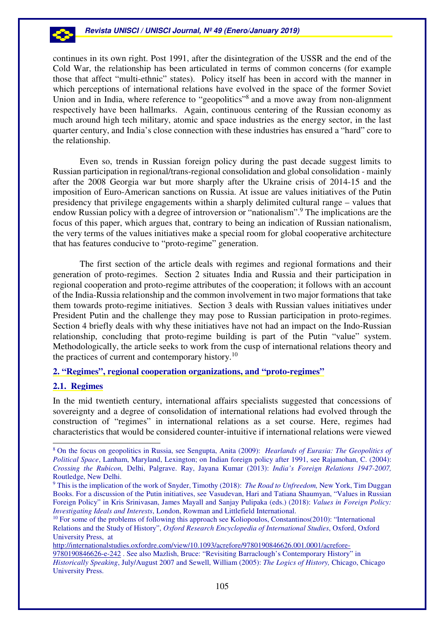### **Revista UNISCI / UNISCI Journal, Nº 49 (Enero/January 2019)**

continues in its own right. Post 1991, after the disintegration of the USSR and the end of the Cold War, the relationship has been articulated in terms of common concerns (for example those that affect "multi-ethnic" states). Policy itself has been in accord with the manner in which perceptions of international relations have evolved in the space of the former Soviet Union and in India, where reference to "geopolitics"<sup>8</sup> and a move away from non-alignment respectively have been hallmarks. Again, continuous centering of the Russian economy as much around high tech military, atomic and space industries as the energy sector, in the last quarter century, and India's close connection with these industries has ensured a "hard" core to the relationship.

Even so, trends in Russian foreign policy during the past decade suggest limits to Russian participation in regional/trans-regional consolidation and global consolidation - mainly after the 2008 Georgia war but more sharply after the Ukraine crisis of 2014-15 and the imposition of Euro-American sanctions on Russia. At issue are values initiatives of the Putin presidency that privilege engagements within a sharply delimited cultural range – values that endow Russian policy with a degree of introversion or "nationalism".<sup>9</sup> The implications are the focus of this paper, which argues that, contrary to being an indication of Russian nationalism, the very terms of the values initiatives make a special room for global cooperative architecture that has features conducive to "proto-regime" generation.

The first section of the article deals with regimes and regional formations and their generation of proto-regimes. Section 2 situates India and Russia and their participation in regional cooperation and proto-regime attributes of the cooperation; it follows with an account of the India-Russia relationship and the common involvement in two major formations that take them towards proto-regime initiatives. Section 3 deals with Russian values initiatives under President Putin and the challenge they may pose to Russian participation in proto-regimes. Section 4 briefly deals with why these initiatives have not had an impact on the Indo-Russian relationship, concluding that proto-regime building is part of the Putin "value" system. Methodologically, the article seeks to work from the cusp of international relations theory and the practices of current and contemporary history.<sup>10</sup>

# **2. "Regimes", regional cooperation organizations, and "proto-regimes"**

# **2.1. Regimes**

 $\overline{a}$ 

In the mid twentieth century, international affairs specialists suggested that concessions of sovereignty and a degree of consolidation of international relations had evolved through the construction of "regimes" in international relations as a set course. Here, regimes had characteristics that would be considered counter-intuitive if international relations were viewed

http://internationalstudies.oxfordre.com/view/10.1093/acrefore/9780190846626.001.0001/acrefore-

<sup>8</sup> On the focus on geopolitics in Russia, see Sengupta, Anita (2009): *Hearlands of Eurasia: The Geopolitics of Political Space*, Lanham, Maryland, Lexington; on Indian foreign policy after 1991, see Rajamohan, C. (2004): *Crossing the Rubicon,* Delhi, Palgrave. Ray, Jayana Kumar (2013): *India's Foreign Relations 1947-2007,*  Routledge, New Delhi.

<sup>9</sup> This is the implication of the work of Snyder, Timothy (2018): *The Road to Unfreedom,* New York, Tim Duggan Books. For a discussion of the Putin initiatives, see Vasudevan, Hari and Tatiana Shaumyan, "Values in Russian Foreign Policy" in Kris Srinivasan, James Mayall and Sanjay Pulipaka (eds.) (2018): *Values in Foreign Policy: Investigating Ideals and Interests*, London, Rowman and Littlefield International.

<sup>&</sup>lt;sup>10</sup> For some of the problems of following this approach see Koliopoulos, Constantinos(2010): "International Relations and the Study of History", *Oxford Research Encyclopedia of International Studies*, Oxford, Oxford University Press, at

<sup>9780190846626-</sup>e-242 . See also Mazlish, Bruce: "Revisiting Barraclough's Contemporary History" in *Historically Speaking*, July/August 2007 and Sewell, William (2005): *The Logics of History,* Chicago, Chicago University Press.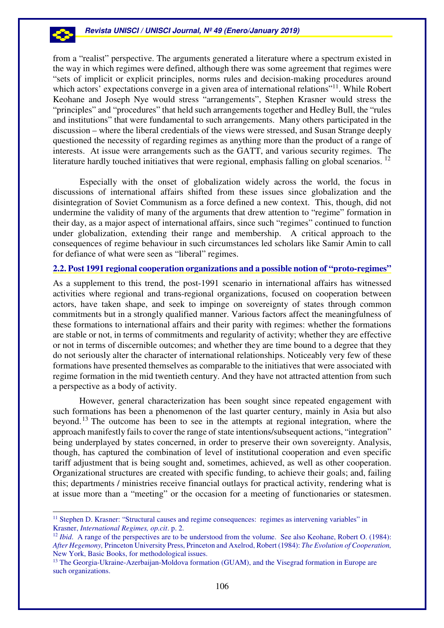### **Revista UNISCI / UNISCI Journal, Nº 49 (Enero/January 2019)**

from a "realist" perspective. The arguments generated a literature where a spectrum existed in the way in which regimes were defined, although there was some agreement that regimes were "sets of implicit or explicit principles, norms rules and decision-making procedures around which actors' expectations converge in a given area of international relations"<sup>11</sup>. While Robert Keohane and Joseph Nye would stress "arrangements", Stephen Krasner would stress the "principles" and "procedures" that held such arrangements together and Hedley Bull, the "rules and institutions" that were fundamental to such arrangements. Many others participated in the discussion – where the liberal credentials of the views were stressed, and Susan Strange deeply questioned the necessity of regarding regimes as anything more than the product of a range of interests. At issue were arrangements such as the GATT, and various security regimes. The literature hardly touched initiatives that were regional, emphasis falling on global scenarios.  $^{12}$ 

Especially with the onset of globalization widely across the world, the focus in discussions of international affairs shifted from these issues since globalization and the disintegration of Soviet Communism as a force defined a new context. This, though, did not undermine the validity of many of the arguments that drew attention to "regime" formation in their day, as a major aspect of international affairs, since such "regimes" continued to function under globalization, extending their range and membership. A critical approach to the consequences of regime behaviour in such circumstances led scholars like Samir Amin to call for defiance of what were seen as "liberal" regimes.

## **2.2. Post 1991 regional cooperation organizations and a possible notion of "proto-regimes"**

As a supplement to this trend, the post-1991 scenario in international affairs has witnessed activities where regional and trans-regional organizations, focused on cooperation between actors, have taken shape, and seek to impinge on sovereignty of states through common commitments but in a strongly qualified manner. Various factors affect the meaningfulness of these formations to international affairs and their parity with regimes: whether the formations are stable or not, in terms of commitments and regularity of activity; whether they are effective or not in terms of discernible outcomes; and whether they are time bound to a degree that they do not seriously alter the character of international relationships. Noticeably very few of these formations have presented themselves as comparable to the initiatives that were associated with regime formation in the mid twentieth century. And they have not attracted attention from such a perspective as a body of activity.

However, general characterization has been sought since repeated engagement with such formations has been a phenomenon of the last quarter century, mainly in Asia but also beyond.<sup>13</sup> The outcome has been to see in the attempts at regional integration, where the approach manifestly fails to cover the range of state intentions/subsequent actions, "integration" being underplayed by states concerned, in order to preserve their own sovereignty. Analysis, though, has captured the combination of level of institutional cooperation and even specific tariff adjustment that is being sought and, sometimes, achieved, as well as other cooperation. Organizational structures are created with specific funding, to achieve their goals; and, failing this; departments / ministries receive financial outlays for practical activity, rendering what is at issue more than a "meeting" or the occasion for a meeting of functionaries or statesmen.

<sup>&</sup>lt;sup>11</sup> Stephen D. Krasner: "Structural causes and regime consequences: regimes as intervening variables" in Krasner, *International Regimes, op.cit*. p. 2.

<sup>&</sup>lt;sup>12</sup> *Ibid.* A range of the perspectives are to be understood from the volume. See also Keohane, Robert O. (1984): *After Hegemony,* Princeton University Press, Princeton and Axelrod, Robert (1984): *The Evolution of Cooperation,*  New York, Basic Books, for methodological issues.

<sup>&</sup>lt;sup>13</sup> The Georgia-Ukraine-Azerbaijan-Moldova formation (GUAM), and the Visegrad formation in Europe are such organizations.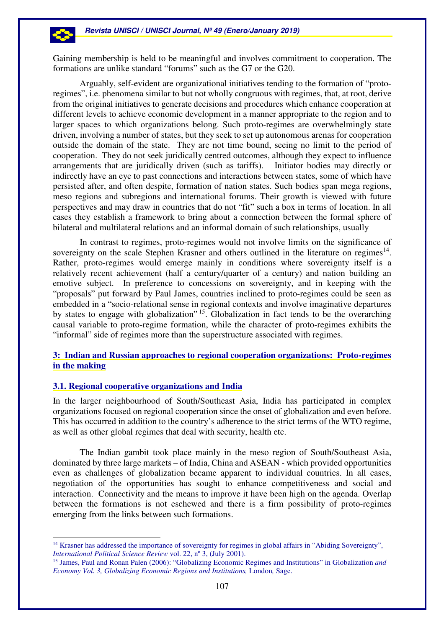

Gaining membership is held to be meaningful and involves commitment to cooperation. The formations are unlike standard "forums" such as the G7 or the G20.

Arguably, self-evident are organizational initiatives tending to the formation of "protoregimes", i.e. phenomena similar to but not wholly congruous with regimes, that, at root, derive from the original initiatives to generate decisions and procedures which enhance cooperation at different levels to achieve economic development in a manner appropriate to the region and to larger spaces to which organizations belong. Such proto-regimes are overwhelmingly state driven, involving a number of states, but they seek to set up autonomous arenas for cooperation outside the domain of the state. They are not time bound, seeing no limit to the period of cooperation. They do not seek juridically centred outcomes, although they expect to influence arrangements that are juridically driven (such as tariffs). Initiator bodies may directly or indirectly have an eye to past connections and interactions between states, some of which have persisted after, and often despite, formation of nation states. Such bodies span mega regions, meso regions and subregions and international forums. Their growth is viewed with future perspectives and may draw in countries that do not "fit" such a box in terms of location. In all cases they establish a framework to bring about a connection between the formal sphere of bilateral and multilateral relations and an informal domain of such relationships, usually

In contrast to regimes, proto-regimes would not involve limits on the significance of sovereignty on the scale Stephen Krasner and others outlined in the literature on regimes $<sup>14</sup>$ .</sup> Rather, proto-regimes would emerge mainly in conditions where sovereignty itself is a relatively recent achievement (half a century/quarter of a century) and nation building an emotive subject. In preference to concessions on sovereignty, and in keeping with the "proposals" put forward by Paul James, countries inclined to proto-regimes could be seen as embedded in a "socio-relational sense in regional contexts and involve imaginative departures by states to engage with globalization<sup>"15</sup>. Globalization in fact tends to be the overarching causal variable to proto-regime formation, while the character of proto-regimes exhibits the "informal" side of regimes more than the superstructure associated with regimes.

# **3: Indian and Russian approaches to regional cooperation organizations: Proto-regimes in the making**

### **3.1. Regional cooperative organizations and India**

In the larger neighbourhood of South/Southeast Asia, India has participated in complex organizations focused on regional cooperation since the onset of globalization and even before. This has occurred in addition to the country's adherence to the strict terms of the WTO regime, as well as other global regimes that deal with security, health etc.

The Indian gambit took place mainly in the meso region of South/Southeast Asia, dominated by three large markets – of India, China and ASEAN - which provided opportunities even as challenges of globalization became apparent to individual countries. In all cases, negotiation of the opportunities has sought to enhance competitiveness and social and interaction. Connectivity and the means to improve it have been high on the agenda. Overlap between the formations is not eschewed and there is a firm possibility of proto-regimes emerging from the links between such formations.

 $\overline{a}$ <sup>14</sup> Krasner has addressed the importance of sovereignty for regimes in global affairs in "Abiding Sovereignty", *International Political Science Review* vol. 22, nº 3, (July 2001).

<sup>15</sup> James, Paul and Ronan Palen (2006): "Globalizing Economic Regimes and Institutions" in Globalization *and Economy Vol. 3, Globalizing Economic Regions and Institutions,* London*,* Sage.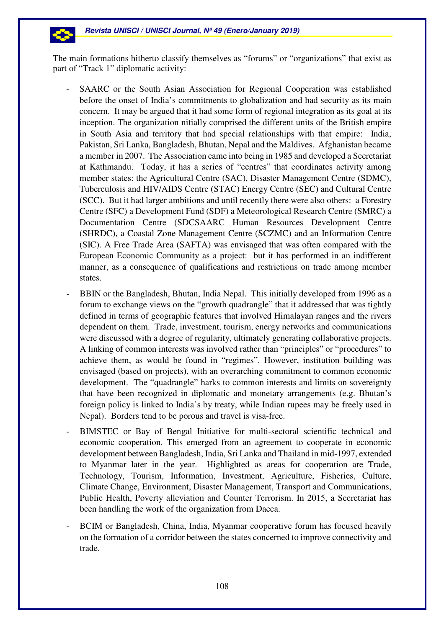

The main formations hitherto classify themselves as "forums" or "organizations" that exist as part of "Track 1" diplomatic activity:

- SAARC or the South Asian Association for Regional Cooperation was established before the onset of India's commitments to globalization and had security as its main concern. It may be argued that it had some form of regional integration as its goal at its inception. The organization nitially comprised the different units of the British empire in South Asia and territory that had special relationships with that empire: India, Pakistan, Sri Lanka, Bangladesh, Bhutan, Nepal and the Maldives. Afghanistan became a member in 2007. The Association came into being in 1985 and developed a Secretariat at Kathmandu. Today, it has a series of "centres" that coordinates activity among member states: the Agricultural Centre (SAC), Disaster Management Centre (SDMC), Tuberculosis and HIV/AIDS Centre (STAC) Energy Centre (SEC) and Cultural Centre (SCC). But it had larger ambitions and until recently there were also others: a Forestry Centre (SFC) a Development Fund (SDF) a Meteorological Research Centre (SMRC) a Documentation Centre (SDCSAARC Human Resources Development Centre (SHRDC), a Coastal Zone Management Centre (SCZMC) and an Information Centre (SIC). A Free Trade Area (SAFTA) was envisaged that was often compared with the European Economic Community as a project: but it has performed in an indifferent manner, as a consequence of qualifications and restrictions on trade among member states.
- BBIN or the Bangladesh, Bhutan, India Nepal. This initially developed from 1996 as a forum to exchange views on the "growth quadrangle" that it addressed that was tightly defined in terms of geographic features that involved Himalayan ranges and the rivers dependent on them. Trade, investment, tourism, energy networks and communications were discussed with a degree of regularity, ultimately generating collaborative projects. A linking of common interests was involved rather than "principles" or "procedures" to achieve them, as would be found in "regimes". However, institution building was envisaged (based on projects), with an overarching commitment to common economic development. The "quadrangle" harks to common interests and limits on sovereignty that have been recognized in diplomatic and monetary arrangements (e.g. Bhutan's foreign policy is linked to India's by treaty, while Indian rupees may be freely used in Nepal). Borders tend to be porous and travel is visa-free.
- BIMSTEC or Bay of Bengal Initiative for multi-sectoral scientific technical and economic cooperation. This emerged from an agreement to cooperate in economic development between Bangladesh, India, Sri Lanka and Thailand in mid-1997, extended to Myanmar later in the year. Highlighted as areas for cooperation are Trade, Technology, Tourism, Information, Investment, Agriculture, Fisheries, Culture, Climate Change, Environment, Disaster Management, Transport and Communications, Public Health, Poverty alleviation and Counter Terrorism. In 2015, a Secretariat has been handling the work of the organization from Dacca.
- BCIM or Bangladesh, China, India, Myanmar cooperative forum has focused heavily on the formation of a corridor between the states concerned to improve connectivity and trade.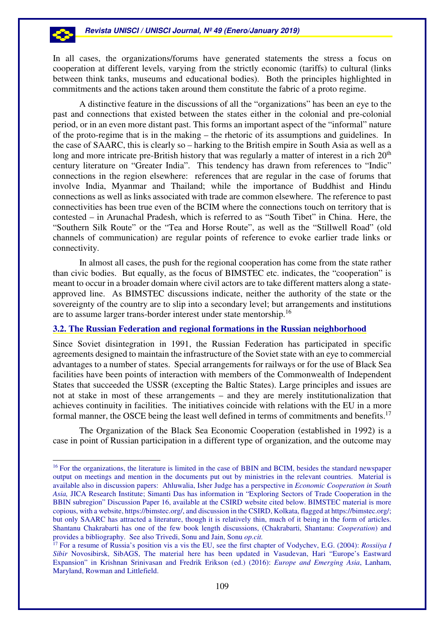In all cases, the organizations/forums have generated statements the stress a focus on cooperation at different levels, varying from the strictly economic (tariffs) to cultural (links between think tanks, museums and educational bodies). Both the principles highlighted in commitments and the actions taken around them constitute the fabric of a proto regime.

A distinctive feature in the discussions of all the "organizations" has been an eye to the past and connections that existed between the states either in the colonial and pre-colonial period, or in an even more distant past. This forms an important aspect of the "informal" nature of the proto-regime that is in the making – the rhetoric of its assumptions and guidelines. In the case of SAARC, this is clearly so – harking to the British empire in South Asia as well as a long and more intricate pre-British history that was regularly a matter of interest in a rich 20<sup>th</sup> century literature on "Greater India". This tendency has drawn from references to "Indic" connections in the region elsewhere: references that are regular in the case of forums that involve India, Myanmar and Thailand; while the importance of Buddhist and Hindu connections as well as links associated with trade are common elsewhere. The reference to past connectivities has been true even of the BCIM where the connections touch on territory that is contested – in Arunachal Pradesh, which is referred to as "South Tibet" in China. Here, the "Southern Silk Route" or the "Tea and Horse Route", as well as the "Stillwell Road" (old channels of communication) are regular points of reference to evoke earlier trade links or connectivity.

In almost all cases, the push for the regional cooperation has come from the state rather than civic bodies. But equally, as the focus of BIMSTEC etc. indicates, the "cooperation" is meant to occur in a broader domain where civil actors are to take different matters along a stateapproved line. As BIMSTEC discussions indicate, neither the authority of the state or the sovereignty of the country are to slip into a secondary level; but arrangements and institutions are to assume larger trans-border interest under state mentorship.<sup>16</sup>

### **3.2. The Russian Federation and regional formations in the Russian neighborhood**

Since Soviet disintegration in 1991, the Russian Federation has participated in specific agreements designed to maintain the infrastructure of the Soviet state with an eye to commercial advantages to a number of states. Special arrangements for railways or for the use of Black Sea facilities have been points of interaction with members of the Commonwealth of Independent States that succeeded the USSR (excepting the Baltic States). Large principles and issues are not at stake in most of these arrangements – and they are merely institutionalization that achieves continuity in facilities. The initiatives coincide with relations with the EU in a more formal manner, the OSCE being the least well defined in terms of commitments and benefits.<sup>17</sup>

The Organization of the Black Sea Economic Cooperation (established in 1992) is a case in point of Russian participation in a different type of organization, and the outcome may

<sup>&</sup>lt;sup>16</sup> For the organizations, the literature is limited in the case of BBIN and BCIM, besides the standard newspaper output on meetings and mention in the documents put out by ministries in the relevant countries. Material is available also in discussion papers: Ahluwalia, Isher Judge has a perspective in *Economic Cooperation in South Asia,* JICA Research Institute; Simanti Das has information in "Exploring Sectors of Trade Cooperation in the BBIN subregion" Discussion Paper 16, available at the CSIRD website cited below. BIMSTEC material is more copious, with a website, https://bimstec.org/, and discussion in the CSIRD, Kolkata, flagged at https://bimstec.org/; but only SAARC has attracted a literature, though it is relatively thin, much of it being in the form of articles. Shantanu Chakrabarti has one of the few book length discussions, (Chakrabarti, Shantanu: *Cooperation*) and provides a bibliography. See also Trivedi, Sonu and Jain, Sonu *op.cit.*

<sup>17</sup> For a resume of Russia's position vis a vis the EU, see the first chapter of Vodychev, E.G. (2004): *Rossiiya I Sibir* Novosibirsk, SibAGS, The material here has been updated in Vasudevan, Hari "Europe's Eastward Expansion" in Krishnan Srinivasan and Fredrik Erikson (ed.) (2016): *Europe and Emerging Asia*, Lanham, Maryland, Rowman and Littlefield.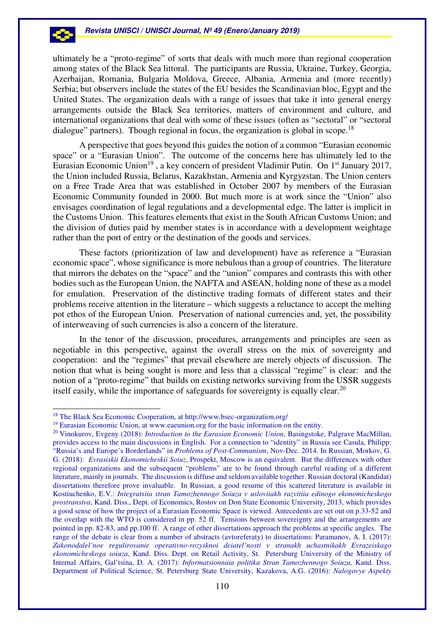### **Revista UNISCI / UNISCI Journal, Nº 49 (Enero/January 2019)**

ultimately be a "proto-regime" of sorts that deals with much more than regional cooperation among states of the Black Sea littoral. The participants are Russia, Ukraine, Turkey, Georgia, Azerbaijan, Romania, Bulgaria Moldova, Greece, Albania, Armenia and (more recently) Serbia; but observers include the states of the EU besides the Scandinavian bloc, Egypt and the United States. The organization deals with a range of issues that take it into general energy arrangements outside the Black Sea territories, matters of environment and culture, and international organizations that deal with some of these issues (often as "sectoral" or "sectoral dialogue" partners). Though regional in focus, the organization is global in scope.<sup>18</sup>

A perspective that goes beyond this guides the notion of a common "Eurasian economic space" or a "Eurasian Union". The outcome of the concerns here has ultimately led to the Eurasian Economic Union<sup>19</sup>, a key concern of president Vladimir Putin. On 1<sup>st</sup> January 2017, the Union included Russia, Belarus, Kazakhstan, Armenia and Kyrgyzstan. The Union centers on a Free Trade Area that was established in October 2007 by members of the Eurasian Economic Community founded in 2000. But much more is at work since the "Union" also envisages coordination of legal regulations and a developmental edge. The latter is implicit in the Customs Union. This features elements that exist in the South African Customs Union; and the division of duties paid by member states is in accordance with a development weightage rather than the port of entry or the destination of the goods and services.

These factors (prioritization of law and development) have as reference a "Eurasian economic space", whose significance is more nebulous than a group of countries. The literature that mirrors the debates on the "space" and the "union" compares and contrasts this with other bodies such as the European Union, the NAFTA and ASEAN, holding none of these as a model for emulation. Preservation of the distinctive trading formats of different states and their problems receive attention in the literature – which suggests a reluctance to accept the melting pot ethos of the European Union. Preservation of national currencies and, yet, the possibility of interweaving of such currencies is also a concern of the literature.

In the tenor of the discussion, procedures, arrangements and principles are seen as negotiable in this perspective, against the overall stress on the mix of sovereignty and cooperation: and the "regimes" that prevail elsewhere are merely objects of discussion. The notion that what is being sought is more and less that a classical "regime" is clear: and the notion of a "proto-regime" that builds on existing networks surviving from the USSR suggests itself easily, while the importance of safeguards for sovereignty is equally clear.<sup>20</sup>

<sup>18</sup> The Black Sea Economic Cooperation, at http://www.bsec-organization.org/

<sup>&</sup>lt;sup>19</sup> Eurasian Economic Union, at www.eaeunion.org for the basic information on the entity.

<sup>20</sup> Vinokurov, Evgeny (2018): *Introduction to the Eurasian Economic Union*, Basingstoke, Palgrave MacMillan, provides access to the main discussions in English. For a connection to "identity" in Russia see Casula, Philipp: "Russia's and Europe's Borderlands" in *Problems of Post-Communism*, Nov-Dec. 2014. In Russian, Morkov, G. G. (2018): *Evrasiskii Ekonomicheskii Soiuz*, Prospekt, Moscow is an equivalent. But the differences with other regional organizations and the subsequent "problems" are to be found through careful reading of a different literature, mainly in journals. The discussion is diffuse and seldom available together. Russian doctoral (Kandidat) dissertations therefore prove invaluable. In Russian, a good resume of this scattered literature is available in Kostiuchenko, E.V.: *Integratsiia stran Tamozhennogo Soiuza v usloviiakh razvitiia edinogo ekonomicheskogo prostranstva*, Kand. Diss., Dept. of Economics, Rostov on Don State Economic University, 2013, which provides a good sense of how the project of a Eurasian Economic Space is viewed. Antecedents are set out on p.33-52 and the overlap with the WTO is considered in pp. 52 ff. Tensions between sovereignty and the arrangements are pointed in pp. 82-83, and pp.100 ff. A range of other dissertations approach the problems at specific angles. The range of the debate is clear from a number of abstracts (avtoreferaty) to dissertations: Paramanov, A. I. (2017): *Zakonodalel'noe regulirovanie operativno-rozysknoi deiatel'nosti v stranakh uchastnikakh Evrazeiskago ekonomicheskoga soiuza*, Kand. Diss. Dept. on Retail Activity, St. Petersburg University of the Ministry of Internal Affairs, Gal'tsina, D. A. (2017): *Informatsionnaia politika Stran Tamozhennogo Soiuza,* Kand. Diss. Department of Political Science, St. Petersburg State University, Kazakova, A.G. (2016): *Nalogovye Aspekty*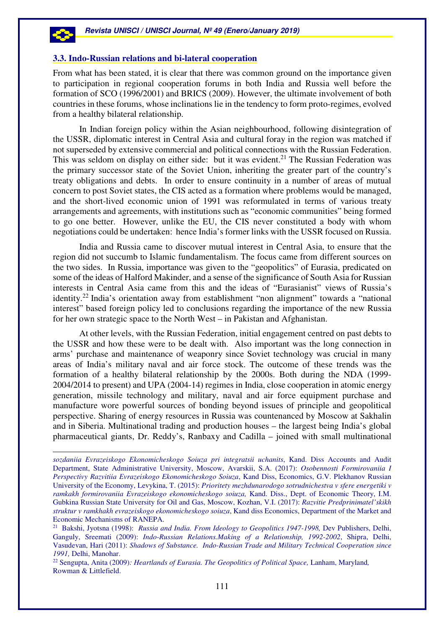### **3.3. Indo-Russian relations and bi-lateral cooperation**

From what has been stated, it is clear that there was common ground on the importance given to participation in regional cooperation forums in both India and Russia well before the formation of SCO (1996/2001) and BRICS (2009). However, the ultimate involvement of both countries in these forums, whose inclinations lie in the tendency to form proto-regimes, evolved from a healthy bilateral relationship.

In Indian foreign policy within the Asian neighbourhood, following disintegration of the USSR, diplomatic interest in Central Asia and cultural foray in the region was matched if not superseded by extensive commercial and political connections with the Russian Federation. This was seldom on display on either side: but it was evident.<sup>21</sup> The Russian Federation was the primary successor state of the Soviet Union, inheriting the greater part of the country's treaty obligations and debts. In order to ensure continuity in a number of areas of mutual concern to post Soviet states, the CIS acted as a formation where problems would be managed, and the short-lived economic union of 1991 was reformulated in terms of various treaty arrangements and agreements, with institutions such as "economic communities" being formed to go one better. However, unlike the EU, the CIS never constituted a body with whom negotiations could be undertaken: hence India's former links with the USSR focused on Russia.

India and Russia came to discover mutual interest in Central Asia, to ensure that the region did not succumb to Islamic fundamentalism. The focus came from different sources on the two sides. In Russia, importance was given to the "geopolitics" of Eurasia, predicated on some of the ideas of Halford Makinder, and a sense of the significance of South Asia for Russian interests in Central Asia came from this and the ideas of "Eurasianist" views of Russia's identity.<sup>22</sup> India's orientation away from establishment "non alignment" towards a "national interest" based foreign policy led to conclusions regarding the importance of the new Russia for her own strategic space to the North West – in Pakistan and Afghanistan.

At other levels, with the Russian Federation, initial engagement centred on past debts to the USSR and how these were to be dealt with. Also important was the long connection in arms' purchase and maintenance of weaponry since Soviet technology was crucial in many areas of India's military naval and air force stock. The outcome of these trends was the formation of a healthy bilateral relationship by the 2000s. Both during the NDA (1999- 2004/2014 to present) and UPA (2004-14) regimes in India, close cooperation in atomic energy generation, missile technology and military, naval and air force equipment purchase and manufacture wore powerful sources of bonding beyond issues of principle and geopolitical perspective. Sharing of energy resources in Russia was countenanced by Moscow at Sakhalin and in Siberia. Multinational trading and production houses – the largest being India's global pharmaceutical giants, Dr. Reddy's, Ranbaxy and Cadilla – joined with small multinational

*sozdaniia Evrazeiskogo Ekonomicheskogo Soiuza pri integratsii uchanits*, Kand. Diss Accounts and Audit Department, State Administrative University, Moscow, Avarskii, S.A. (2017): *Osobennosti Formirovaniia I Perspectivy Razvitiia Evrazeiskogo Ekonomicheskogo Soiuza*, Kand Diss, Economics, G.V. Plekhanov Russian University of the Economy, Levykina, T. (2015): *Prioritety mezhdunarodogo sotrudnichestva v sfere energetiki v ramkakh formirovaniia Evrazeiskogo ekonomicheskogo soiuza,* Kand. Diss., Dept. of Economic Theory, I.M. Gubkina Russian State University for Oil and Gas, Moscow, Kozhan, V.I. (2017): *Razvitie Predprinimatel'skikh struktur v ramkhakh evrazeiskogo ekonomicheskogo soiuza*, Kand diss Economics, Department of the Market and Economic Mechanisms of RANEPA.

<sup>&</sup>lt;sup>21</sup> Bakshi, Jyotsna (1998): *Russia and India. From Ideology to Geopolitics 1947-1998*, Dev Publishers, Delhi, Ganguly, Sreemati (2009): *Indo-Russian Relations.Making of a Relationship, 1992-2002*, Shipra, Delhi, Vasudevan, Hari (2011): *Shadows of Substance. Indo-Russian Trade and Military Technical Cooperation since 1991,* Delhi, Manohar.

<sup>22</sup> Sengupta, Anita (2009)*: Heartlands of Eurasia. The Geopolitics of Political Space,* Lanham, Maryland*,*  Rowman & Littlefield.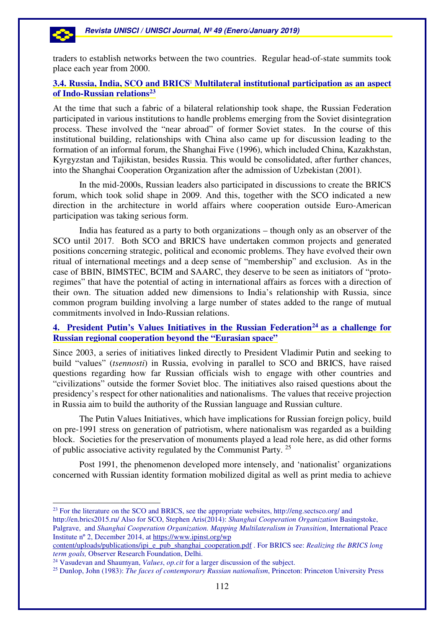$\overline{a}$ 

traders to establish networks between the two countries. Regular head-of-state summits took place each year from 2000.

# **3.4. Russia, India, SCO and BRICS: Multilateral institutional participation as an aspect of Indo-Russian relations<sup>23</sup>**

At the time that such a fabric of a bilateral relationship took shape, the Russian Federation participated in various institutions to handle problems emerging from the Soviet disintegration process. These involved the "near abroad" of former Soviet states. In the course of this institutional building, relationships with China also came up for discussion leading to the formation of an informal forum, the Shanghai Five (1996), which included China, Kazakhstan, Kyrgyzstan and Tajikistan, besides Russia. This would be consolidated, after further chances, into the Shanghai Cooperation Organization after the admission of Uzbekistan (2001).

In the mid-2000s, Russian leaders also participated in discussions to create the BRICS forum, which took solid shape in 2009. And this, together with the SCO indicated a new direction in the architecture in world affairs where cooperation outside Euro-American participation was taking serious form.

India has featured as a party to both organizations – though only as an observer of the SCO until 2017. Both SCO and BRICS have undertaken common projects and generated positions concerning strategic, political and economic problems. They have evolved their own ritual of international meetings and a deep sense of "membership" and exclusion. As in the case of BBIN, BIMSTEC, BCIM and SAARC, they deserve to be seen as initiators of "protoregimes" that have the potential of acting in international affairs as forces with a direction of their own. The situation added new dimensions to India's relationship with Russia, since common program building involving a large number of states added to the range of mutual commitments involved in Indo-Russian relations.

# **4. President Putin's Values Initiatives in the Russian Federation<sup>24</sup> as a challenge for Russian regional cooperation beyond the "Eurasian space"**

Since 2003, a series of initiatives linked directly to President Vladimir Putin and seeking to build "values" (*tsennosti*) in Russia, evolving in parallel to SCO and BRICS, have raised questions regarding how far Russian officials wish to engage with other countries and "civilizations" outside the former Soviet bloc. The initiatives also raised questions about the presidency's respect for other nationalities and nationalisms. The values that receive projection in Russia aim to build the authority of the Russian language and Russian culture.

The Putin Values Initiatives, which have implications for Russian foreign policy, build on pre-1991 stress on generation of patriotism, where nationalism was regarded as a building block. Societies for the preservation of monuments played a lead role here, as did other forms of public associative activity regulated by the Communist Party.<sup>25</sup>

Post 1991, the phenomenon developed more intensely, and 'nationalist' organizations concerned with Russian identity formation mobilized digital as well as print media to achieve

<sup>&</sup>lt;sup>23</sup> For the literature on the SCO and BRICS, see the appropriate websites, http://eng.sectsco.org/ and http://en.brics2015.ru/ Also for SCO, Stephen Aris(2014): *Shanghai Cooperation Organization* Basingstoke, Palgrave, and *Shanghai Cooperation Organization. Mapping Multilateralism in Transition*, International Peace Institute nº 2, December 2014, at https://www.ipinst.org/wp

content/uploads/publications/ipi\_e\_pub\_shanghai\_cooperation.pdf . For BRICS see: *Realizing the BRICS long term goals,* Observer Research Foundation, Delhi.

<sup>24</sup> Vasudevan and Shaumyan, *Values*, *op.cit* for a larger discussion of the subject.

<sup>25</sup> Dunlop, John (1983): *The faces of contemporary Russian nationalism*, Princeton: Princeton University Press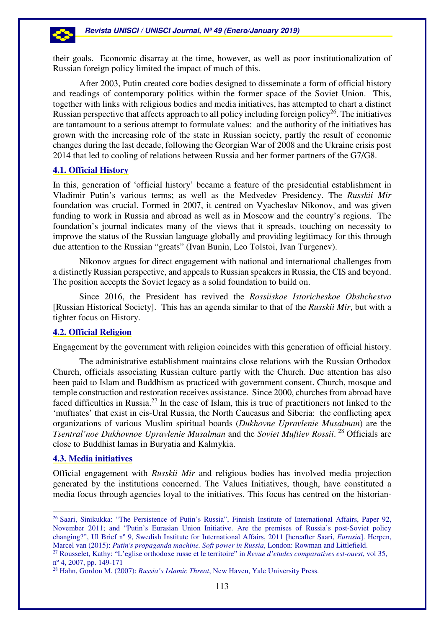their goals. Economic disarray at the time, however, as well as poor institutionalization of Russian foreign policy limited the impact of much of this.

After 2003, Putin created core bodies designed to disseminate a form of official history and readings of contemporary politics within the former space of the Soviet Union. This, together with links with religious bodies and media initiatives, has attempted to chart a distinct Russian perspective that affects approach to all policy including foreign policy<sup>26</sup>. The initiatives are tantamount to a serious attempt to formulate values: and the authority of the initiatives has grown with the increasing role of the state in Russian society, partly the result of economic changes during the last decade, following the Georgian War of 2008 and the Ukraine crisis post 2014 that led to cooling of relations between Russia and her former partners of the G7/G8.

# **4.1. Official History**

In this, generation of 'official history' became a feature of the presidential establishment in Vladimir Putin's various terms; as well as the Medvedev Presidency. The *Russkii Mir* foundation was crucial. Formed in 2007, it centred on Vyacheslav Nikonov, and was given funding to work in Russia and abroad as well as in Moscow and the country's regions. The foundation's journal indicates many of the views that it spreads, touching on necessity to improve the status of the Russian language globally and providing legitimacy for this through due attention to the Russian "greats" (Ivan Bunin, Leo Tolstoi, Ivan Turgenev).

Nikonov argues for direct engagement with national and international challenges from a distinctly Russian perspective, and appeals to Russian speakers in Russia, the CIS and beyond. The position accepts the Soviet legacy as a solid foundation to build on.

Since 2016, the President has revived the *Rossiiskoe Istoricheskoe Obshchestvo* [Russian Historical Society]. This has an agenda similar to that of the *Russkii Mir*, but with a tighter focus on History.

# **4.2. Official Religion**

Engagement by the government with religion coincides with this generation of official history.

The administrative establishment maintains close relations with the Russian Orthodox Church, officials associating Russian culture partly with the Church. Due attention has also been paid to Islam and Buddhism as practiced with government consent. Church, mosque and temple construction and restoration receives assistance. Since 2000, churches from abroad have faced difficulties in Russia.<sup>27</sup> In the case of Islam, this is true of practitioners not linked to the 'muftiates' that exist in cis-Ural Russia, the North Caucasus and Siberia: the conflicting apex organizations of various Muslim spiritual boards (*Dukhovne Upravlenie Musalman*) are the *Tsentral'noe Dukhovnoe Upravlenie Musalman* and the *Soviet Muftiev Rossii*. <sup>28</sup> Officials are close to Buddhist lamas in Buryatia and Kalmykia.

# **4.3. Media initiatives**

 $\overline{a}$ 

Official engagement with *Russkii Mir* and religious bodies has involved media projection generated by the institutions concerned. The Values Initiatives, though, have constituted a media focus through agencies loyal to the initiatives. This focus has centred on the historian-

<sup>26</sup> Saari, Sinikukka: "The Persistence of Putin's Russia", Finnish Institute of International Affairs, Paper 92, November 2011; and "Putin's Eurasian Union Initiative. Are the premises of Russia's post-Soviet policy changing?", Ul Brief nº 9, Swedish Institute for International Affairs, 2011 [hereafter Saari, *Eurasia*]. Herpen, Marcel van (2015): *Putin's propaganda machine. Soft power in Russia*, London: Rowman and Littlefield.

<sup>27</sup> Rousselet, Kathy: "L'eglise orthodoxe russe et le territoire" in *Revue d'etudes comparatives est-ouest*, vol 35, nº 4, 2007, pp. 149-171

<sup>28</sup> Hahn, Gordon M. (2007): *Russia's Islamic Threat*, New Haven, Yale University Press.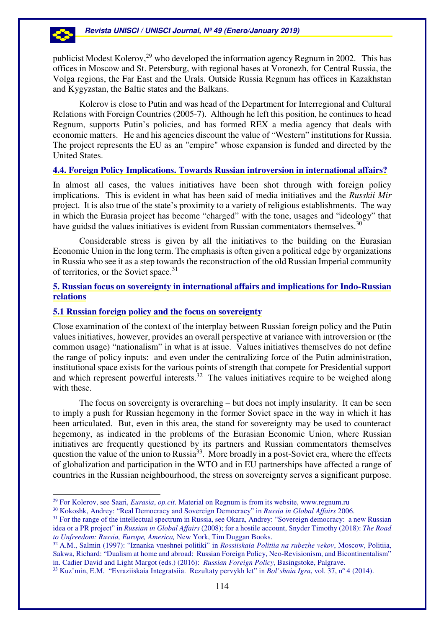publicist Modest Kolerov,<sup>29</sup> who developed the information agency Regnum in 2002. This has offices in Moscow and St. Petersburg, with regional bases at Voronezh, for Central Russia, the Volga regions, the Far East and the Urals. Outside Russia Regnum has offices in Kazakhstan and Kygyzstan, the Baltic states and the Balkans.

 Kolerov is close to Putin and was head of the Department for Interregional and Cultural Relations with Foreign Countries (2005-7). Although he left this position, he continues to head Regnum, supports Putin's policies, and has formed REX a media agency that deals with economic matters. He and his agencies discount the value of "Western" institutions for Russia. The project represents the EU as an "empire" whose expansion is funded and directed by the United States.

## **4.4. Foreign Policy Implications. Towards Russian introversion in international affairs?**

In almost all cases, the values initiatives have been shot through with foreign policy implications. This is evident in what has been said of media initiatives and the *Russkii Mir* project. It is also true of the state's proximity to a variety of religious establishments. The way in which the Eurasia project has become "charged" with the tone, usages and "ideology" that have guidsd the values initiatives is evident from Russian commentators themselves. $30$ 

Considerable stress is given by all the initiatives to the building on the Eurasian Economic Union in the long term. The emphasis is often given a political edge by organizations in Russia who see it as a step towards the reconstruction of the old Russian Imperial community of territories, or the Soviet space.<sup>31</sup>

# **5. Russian focus on sovereignty in international affairs and implications for Indo-Russian relations**

### **5.1 Russian foreign policy and the focus on sovereignty**

 $\overline{a}$ 

Close examination of the context of the interplay between Russian foreign policy and the Putin values initiatives, however, provides an overall perspective at variance with introversion or (the common usage) "nationalism" in what is at issue. Values initiatives themselves do not define the range of policy inputs: and even under the centralizing force of the Putin administration, institutional space exists for the various points of strength that compete for Presidential support and which represent powerful interests.<sup>32</sup> The values initiatives require to be weighed along with these.

The focus on sovereignty is overarching – but does not imply insularity. It can be seen to imply a push for Russian hegemony in the former Soviet space in the way in which it has been articulated. But, even in this area, the stand for sovereignty may be used to counteract hegemony, as indicated in the problems of the Eurasian Economic Union, where Russian initiatives are frequently questioned by its partners and Russian commentators themselves question the value of the union to Russia<sup>33</sup>. More broadly in a post-Soviet era, where the effects of globalization and participation in the WTO and in EU partnerships have affected a range of countries in the Russian neighbourhood, the stress on sovereignty serves a significant purpose.

<sup>29</sup> For Kolerov, see Saari, *Eurasia*, *op.cit*. Material on Regnum is from its website, www.regnum.ru

<sup>30</sup> Kokoshk, Andrey: "Real Democracy and Sovereign Democracy" in *Russia in Global Affairs* 2006.

<sup>&</sup>lt;sup>31</sup> For the range of the intellectual spectrum in Russia, see Okara, Andrey: "Sovereign democracy: a new Russian idea or a PR project" in *Russian in Global Affairs* (2008); for a hostile account, Snyder Timothy (2018): *The Road to Unfreedom: Russia, Europe, America,* New York, Tim Duggan Books.

<sup>32</sup> A.M., Salmin (1997): "Iznanka vneshnei politiki" in *Rossiiskaia Politiia na rubezhe vekov*, Moscow, Politiia, Sakwa, Richard: "Dualism at home and abroad: Russian Foreign Policy, Neo-Revisionism, and Bicontinentalism" in. Cadier David and Light Margot (eds.) (2016): *Russian Foreign Policy*, Basingstoke, Palgrave.

<sup>33</sup> Kuz'min, E.M. "Evraziiskaia Integratsiia. Rezultaty pervykh let" in *Bol'shaia Igra*, vol. 37, nº 4 (2014).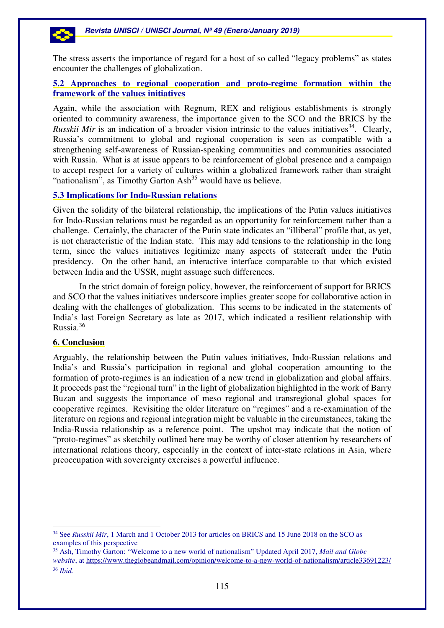The stress asserts the importance of regard for a host of so called "legacy problems" as states encounter the challenges of globalization.

# **5.2 Approaches to regional cooperation and proto-regime formation within the framework of the values initiatives**

Again, while the association with Regnum, REX and religious establishments is strongly oriented to community awareness, the importance given to the SCO and the BRICS by the *Russkii Mir* is an indication of a broader vision intrinsic to the values initiatives<sup>34</sup>. Clearly, Russia's commitment to global and regional cooperation is seen as compatible with a strengthening self-awareness of Russian-speaking communities and communities associated with Russia. What is at issue appears to be reinforcement of global presence and a campaign to accept respect for a variety of cultures within a globalized framework rather than straight "nationalism", as Timothy Garton Ash<sup>35</sup> would have us believe.

# **5.3 Implications for Indo-Russian relations**

Given the solidity of the bilateral relationship, the implications of the Putin values initiatives for Indo-Russian relations must be regarded as an opportunity for reinforcement rather than a challenge. Certainly, the character of the Putin state indicates an "illiberal" profile that, as yet, is not characteristic of the Indian state. This may add tensions to the relationship in the long term, since the values initiatives legitimize many aspects of statecraft under the Putin presidency. On the other hand, an interactive interface comparable to that which existed between India and the USSR, might assuage such differences.

In the strict domain of foreign policy, however, the reinforcement of support for BRICS and SCO that the values initiatives underscore implies greater scope for collaborative action in dealing with the challenges of globalization. This seems to be indicated in the statements of India's last Foreign Secretary as late as 2017, which indicated a resilient relationship with Russia.<sup>36</sup>

### **6. Conclusion**

Arguably, the relationship between the Putin values initiatives, Indo-Russian relations and India's and Russia's participation in regional and global cooperation amounting to the formation of proto-regimes is an indication of a new trend in globalization and global affairs. It proceeds past the "regional turn" in the light of globalization highlighted in the work of Barry Buzan and suggests the importance of meso regional and transregional global spaces for cooperative regimes. Revisiting the older literature on "regimes" and a re-examination of the literature on regions and regional integration might be valuable in the circumstances, taking the India-Russia relationship as a reference point. The upshot may indicate that the notion of "proto-regimes" as sketchily outlined here may be worthy of closer attention by researchers of international relations theory, especially in the context of inter-state relations in Asia, where preoccupation with sovereignty exercises a powerful influence.

 $\overline{a}$ <sup>34</sup> See *Russkii Mir*, 1 March and 1 October 2013 for articles on BRICS and 15 June 2018 on the SCO as examples of this perspective

<sup>35</sup> Ash, Timothy Garton: "Welcome to a new world of nationalism" Updated April 2017, *Mail and Globe website*, at https://www.theglobeandmail.com/opinion/welcome-to-a-new-world-of-nationalism/article33691223/

<sup>36</sup> *Ibid.*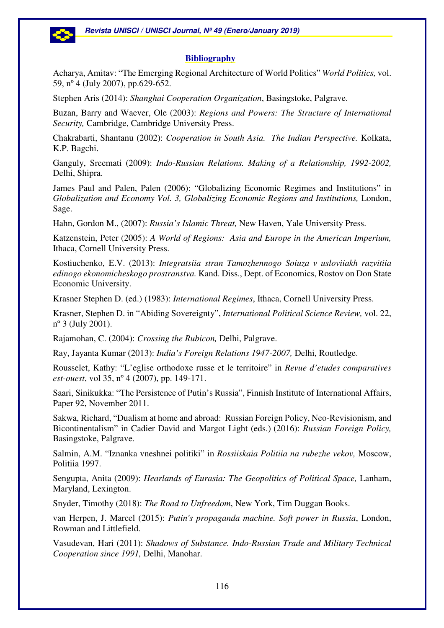# **Bibliography**

Acharya, Amitav: "The Emerging Regional Architecture of World Politics" *World Politics,* vol. 59, nº 4 (July 2007), pp.629-652.

Stephen Aris (2014): *Shanghai Cooperation Organization*, Basingstoke, Palgrave.

Buzan, Barry and Waever, Ole (2003): *Regions and Powers: The Structure of International Security,* Cambridge, Cambridge University Press.

Chakrabarti, Shantanu (2002): *Cooperation in South Asia. The Indian Perspective.* Kolkata, K.P. Bagchi.

Ganguly, Sreemati (2009): *Indo-Russian Relations. Making of a Relationship, 1992-2002,* Delhi, Shipra.

James Paul and Palen, Palen (2006): "Globalizing Economic Regimes and Institutions" in *Globalization and Economy Vol. 3, Globalizing Economic Regions and Institutions,* London, Sage.

Hahn, Gordon M., (2007): *Russia's Islamic Threat,* New Haven, Yale University Press.

Katzenstein, Peter (2005): *A World of Regions: Asia and Europe in the American Imperium,* Ithaca, Cornell University Press.

Kostiuchenko, E.V. (2013): *Integratsiia stran Tamozhennogo Soiuza v usloviiakh razvitiia edinogo ekonomicheskogo prostranstva.* Kand. Diss., Dept. of Economics, Rostov on Don State Economic University.

Krasner Stephen D. (ed.) (1983): *International Regimes*, Ithaca, Cornell University Press.

Krasner, Stephen D. in "Abiding Sovereignty", *International Political Science Review,* vol. 22, nº 3 (July 2001).

Rajamohan, C. (2004): *Crossing the Rubicon,* Delhi, Palgrave.

Ray, Jayanta Kumar (2013): *India's Foreign Relations 1947-2007,* Delhi, Routledge.

Rousselet, Kathy: "L'eglise orthodoxe russe et le territoire" in *Revue d'etudes comparatives est-ouest*, vol 35, nº 4 (2007), pp. 149-171.

Saari, Sinikukka: "The Persistence of Putin's Russia", Finnish Institute of International Affairs, Paper 92, November 2011.

Sakwa, Richard, "Dualism at home and abroad: Russian Foreign Policy, Neo-Revisionism, and Bicontinentalism" in Cadier David and Margot Light (eds.) (2016): *Russian Foreign Policy,*  Basingstoke, Palgrave.

Salmin, A.M. "Iznanka vneshnei politiki" in *Rossiiskaia Politiia na rubezhe vekov,* Moscow, Politiia 1997.

Sengupta, Anita (2009): *Hearlands of Eurasia: The Geopolitics of Political Space,* Lanham, Maryland, Lexington.

Snyder, Timothy (2018): *The Road to Unfreedom*, New York, Tim Duggan Books.

van Herpen, J. Marcel (2015): *Putin's propaganda machine. Soft power in Russia*, London, Rowman and Littlefield.

Vasudevan, Hari (2011): *Shadows of Substance. Indo-Russian Trade and Military Technical Cooperation since 1991,* Delhi, Manohar.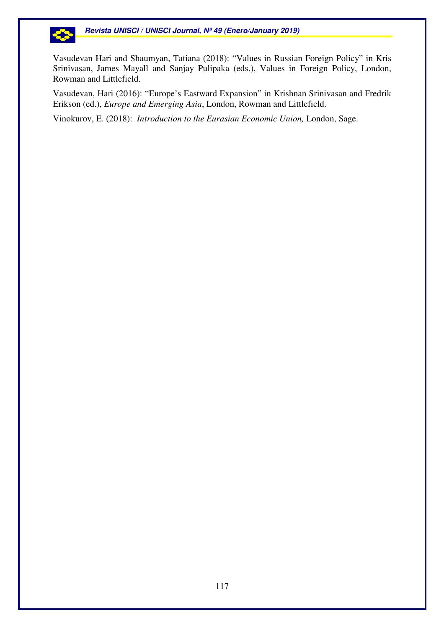

Vasudevan Hari and Shaumyan, Tatiana (2018): "Values in Russian Foreign Policy" in Kris Srinivasan, James Mayall and Sanjay Pulipaka (eds.), Values in Foreign Policy, London, Rowman and Littlefield.

Vasudevan, Hari (2016): "Europe's Eastward Expansion" in Krishnan Srinivasan and Fredrik Erikson (ed.), *Europe and Emerging Asia*, London, Rowman and Littlefield.

Vinokurov, E. (2018): *Introduction to the Eurasian Economic Union,* London, Sage.